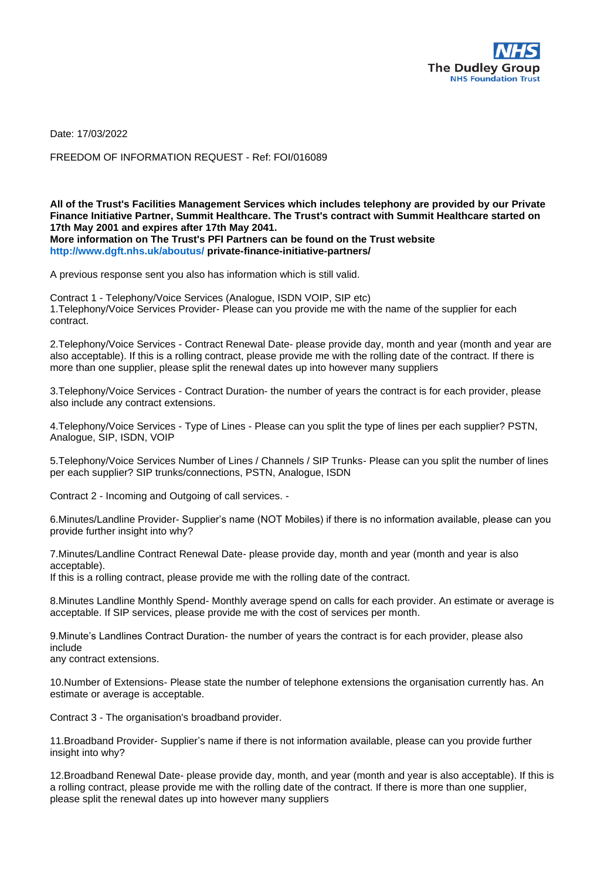

Date: 17/03/2022

FREEDOM OF INFORMATION REQUEST - Ref: FOI/016089

## **All of the Trust's Facilities Management Services which includes telephony are provided by our Private Finance Initiative Partner, Summit Healthcare. The Trust's contract with Summit Healthcare started on 17th May 2001 and expires after 17th May 2041. More information on The Trust's PFI Partners can be found on the Trust website http://www.dgft.nhs.uk/aboutus/ private-finance-initiative-partners/**

A previous response sent you also has information which is still valid.

Contract 1 - Telephony/Voice Services (Analogue, ISDN VOIP, SIP etc) 1.Telephony/Voice Services Provider- Please can you provide me with the name of the supplier for each contract.

2.Telephony/Voice Services - Contract Renewal Date- please provide day, month and year (month and year are also acceptable). If this is a rolling contract, please provide me with the rolling date of the contract. If there is more than one supplier, please split the renewal dates up into however many suppliers

3.Telephony/Voice Services - Contract Duration- the number of years the contract is for each provider, please also include any contract extensions.

4.Telephony/Voice Services - Type of Lines - Please can you split the type of lines per each supplier? PSTN, Analogue, SIP, ISDN, VOIP

5.Telephony/Voice Services Number of Lines / Channels / SIP Trunks- Please can you split the number of lines per each supplier? SIP trunks/connections, PSTN, Analogue, ISDN

Contract 2 - Incoming and Outgoing of call services. -

6.Minutes/Landline Provider- Supplier's name (NOT Mobiles) if there is no information available, please can you provide further insight into why?

7.Minutes/Landline Contract Renewal Date- please provide day, month and year (month and year is also acceptable).

If this is a rolling contract, please provide me with the rolling date of the contract.

8.Minutes Landline Monthly Spend- Monthly average spend on calls for each provider. An estimate or average is acceptable. If SIP services, please provide me with the cost of services per month.

9.Minute's Landlines Contract Duration- the number of years the contract is for each provider, please also include

any contract extensions.

10.Number of Extensions- Please state the number of telephone extensions the organisation currently has. An estimate or average is acceptable.

Contract 3 - The organisation's broadband provider.

11.Broadband Provider- Supplier's name if there is not information available, please can you provide further insight into why?

12.Broadband Renewal Date- please provide day, month, and year (month and year is also acceptable). If this is a rolling contract, please provide me with the rolling date of the contract. If there is more than one supplier, please split the renewal dates up into however many suppliers